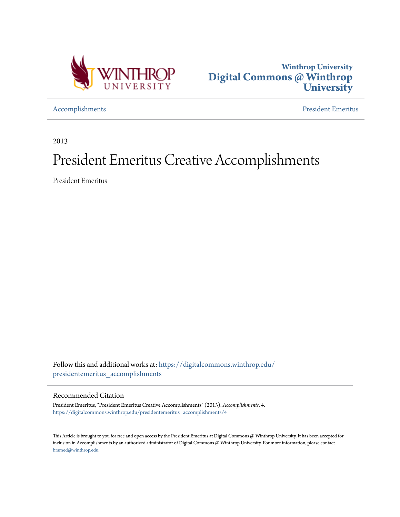



[Accomplishments](https://digitalcommons.winthrop.edu/presidentemeritus_accomplishments?utm_source=digitalcommons.winthrop.edu%2Fpresidentemeritus_accomplishments%2F4&utm_medium=PDF&utm_campaign=PDFCoverPages) [President Emeritus](https://digitalcommons.winthrop.edu/presidentemeritus?utm_source=digitalcommons.winthrop.edu%2Fpresidentemeritus_accomplishments%2F4&utm_medium=PDF&utm_campaign=PDFCoverPages)

2013

## President Emeritus Creative Accomplishments

President Emeritus

Follow this and additional works at: [https://digitalcommons.winthrop.edu/](https://digitalcommons.winthrop.edu/presidentemeritus_accomplishments?utm_source=digitalcommons.winthrop.edu%2Fpresidentemeritus_accomplishments%2F4&utm_medium=PDF&utm_campaign=PDFCoverPages) [presidentemeritus\\_accomplishments](https://digitalcommons.winthrop.edu/presidentemeritus_accomplishments?utm_source=digitalcommons.winthrop.edu%2Fpresidentemeritus_accomplishments%2F4&utm_medium=PDF&utm_campaign=PDFCoverPages)

## Recommended Citation

President Emeritus, "President Emeritus Creative Accomplishments" (2013). *Accomplishments*. 4. [https://digitalcommons.winthrop.edu/presidentemeritus\\_accomplishments/4](https://digitalcommons.winthrop.edu/presidentemeritus_accomplishments/4?utm_source=digitalcommons.winthrop.edu%2Fpresidentemeritus_accomplishments%2F4&utm_medium=PDF&utm_campaign=PDFCoverPages)

This Article is brought to you for free and open access by the President Emeritus at Digital Commons @ Winthrop University. It has been accepted for inclusion in Accomplishments by an authorized administrator of Digital Commons @ Winthrop University. For more information, please contact [bramed@winthrop.edu.](mailto:bramed@winthrop.edu)